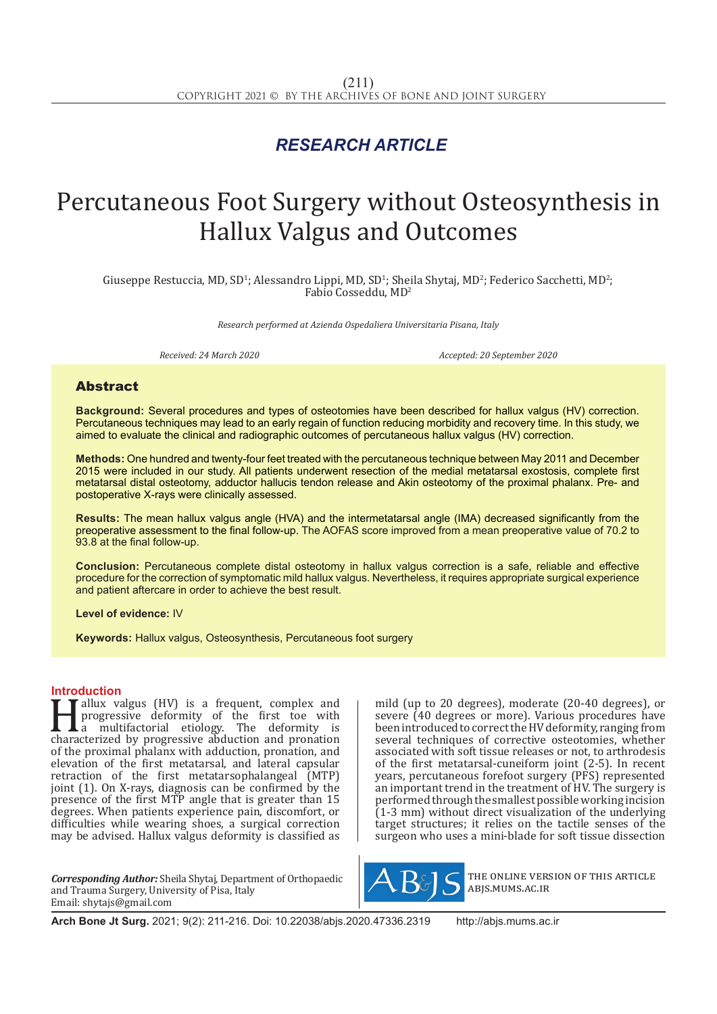## *RESEARCH ARTICLE*

# Percutaneous Foot Surgery without Osteosynthesis in Hallux Valgus and Outcomes

Giuseppe Restuccia, MD, SD<sup>1</sup>; Alessandro Lippi, MD, SD<sup>1</sup>; Sheila Shytaj, MD<sup>2</sup>; Federico Sacchetti, MD<sup>2</sup>; Fabio Cosseddu, MD2

*Research performed at Azienda Ospedaliera Universitaria Pisana, Italy* 

*Received: 24 March 2020 Accepted: 20 September 2020*

### Abstract

**Background:** Several procedures and types of osteotomies have been described for hallux valgus (HV) correction. Percutaneous techniques may lead to an early regain of function reducing morbidity and recovery time. In this study, we aimed to evaluate the clinical and radiographic outcomes of percutaneous hallux valgus (HV) correction.

**Methods:** One hundred and twenty-four feet treated with the percutaneous technique between May 2011 and December 2015 were included in our study. All patients underwent resection of the medial metatarsal exostosis, complete first metatarsal distal osteotomy, adductor hallucis tendon release and Akin osteotomy of the proximal phalanx. Pre- and postoperative X-rays were clinically assessed.

**Results:** The mean hallux valgus angle (HVA) and the intermetatarsal angle (IMA) decreased significantly from the preoperative assessment to the final follow-up. The AOFAS score improved from a mean preoperative value of 70.2 to 93.8 at the final follow-up.

**Conclusion:** Percutaneous complete distal osteotomy in hallux valgus correction is a safe, reliable and effective procedure for the correction of symptomatic mild hallux valgus. Nevertheless, it requires appropriate surgical experience and patient aftercare in order to achieve the best result.

**Level of evidence:** IV

**Keywords:** Hallux valgus, Osteosynthesis, Percutaneous foot surgery

**Introduction**<br>**T** allux valgus (HV) is a frequent, complex and Fallux valgus (HV) is a frequent, complex and<br>progressive deformity of the first toe with<br>a multifactorial etiology. The deformity is<br>characterized by progressive abduction and pronation<br>of the provincial phalony with addu progressive deformity of the first toe with a multifactorial etiology. The deformity is characterized by progressive abduction and pronation of the proximal phalanx with adduction, pronation, and elevation of the first metatarsal, and lateral capsular retraction of the first metatarsophalangeal (MTP) joint (1). On X-rays, diagnosis can be confirmed by the presence of the first MTP angle that is greater than 15 degrees. When patients experience pain, discomfort, or difficulties while wearing shoes, a surgical correction may be advised. Hallux valgus deformity is classified as

*Corresponding Author:* Sheila Shytaj, Department of Orthopaedic and Trauma Surgery, University of Pisa, Italy Email: shytajs@gmail.com

mild (up to 20 degrees), moderate (20-40 degrees), or severe (40 degrees or more). Various procedures have been introduced to correct the HV deformity, ranging from several techniques of corrective osteotomies, whether associated with soft tissue releases or not, to arthrodesis of the first metatarsal-cuneiform joint (2-5). In recent years, percutaneous forefoot surgery (PFS) represented an important trend in the treatment of HV. The surgery is performed through the smallest possible working incision (1-3 mm) without direct visualization of the underlying target structures; it relies on the tactile senses of the surgeon who uses a mini-blade for soft tissue dissection



the online version of this article abjs.mums.ac.ir

**Arch Bone Jt Surg.** 2021; 9(2): 211-216. Doi: 10.22038/abjs.2020.47336.2319 http://abjs.mums.ac.ir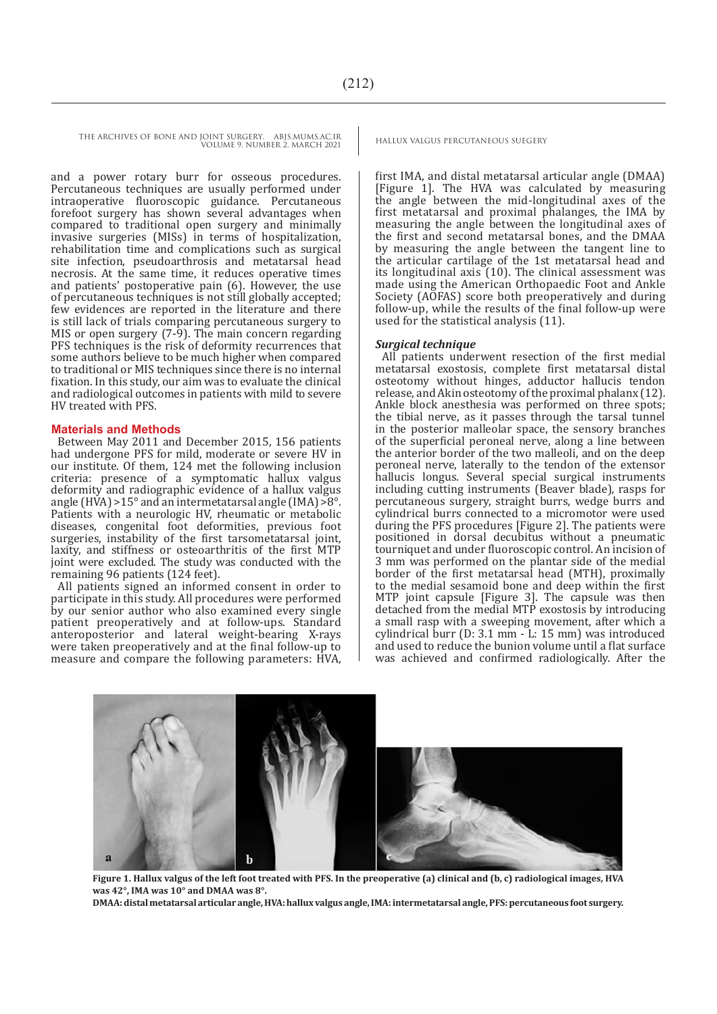THE ARCHIVES OF BONE AND JOINT SURGERY. ABJS.MUMS.AC.IR HALLUX VALGUS PERCUTANEOUS SUEGERY VOLUME 9. NUMBER 2. MARCH 2021

and a power rotary burr for osseous procedures. Percutaneous techniques are usually performed under intraoperative fluoroscopic guidance. Percutaneous forefoot surgery has shown several advantages when compared to traditional open surgery and minimally invasive surgeries (MISs) in terms of hospitalization, rehabilitation time and complications such as surgical site infection, pseudoarthrosis and metatarsal head necrosis. At the same time, it reduces operative times and patients' postoperative pain (6). However, the use of percutaneous techniques is not still globally accepted; few evidences are reported in the literature and there is still lack of trials comparing percutaneous surgery to MIS or open surgery (7-9). The main concern regarding PFS techniques is the risk of deformity recurrences that some authors believe to be much higher when compared to traditional or MIS techniques since there is no internal fixation. In this study, our aim was to evaluate the clinical and radiological outcomes in patients with mild to severe HV treated with PFS.

#### **Materials and Methods**

Between May 2011 and December 2015, 156 patients had undergone PFS for mild, moderate or severe HV in our institute. Of them, 124 met the following inclusion criteria: presence of a symptomatic hallux valgus deformity and radiographic evidence of a hallux valgus angle (HVA) >15° and an intermetatarsal angle (IMA) >8°. Patients with a neurologic HV, rheumatic or metabolic diseases, congenital foot deformities, previous foot surgeries, instability of the first tarsometatarsal joint, laxity, and stiffness or osteoarthritis of the first MTP joint were excluded. The study was conducted with the remaining 96 patients (124 feet).

All patients signed an informed consent in order to participate in this study. All procedures were performed by our senior author who also examined every single patient preoperatively and at follow-ups. Standard anteroposterior and lateral weight-bearing X-rays were taken preoperatively and at the final follow-up to measure and compare the following parameters: HVA,

first IMA, and distal metatarsal articular angle (DMAA) [Figure 1]. The HVA was calculated by measuring the angle between the mid-longitudinal axes of the first metatarsal and proximal phalanges, the IMA by measuring the angle between the longitudinal axes of the first and second metatarsal bones, and the DMAA by measuring the angle between the tangent line to the articular cartilage of the 1st metatarsal head and its longitudinal axis (10). The clinical assessment was made using the American Orthopaedic Foot and Ankle Society (AOFAS) score both preoperatively and during follow-up, while the results of the final follow-up were used for the statistical analysis (11).

#### *Surgical technique*

All patients underwent resection of the first medial metatarsal exostosis, complete first metatarsal distal osteotomy without hinges, adductor hallucis tendon release, and Akin osteotomy of the proximal phalanx (12). Ankle block anesthesia was performed on three spots; the tibial nerve, as it passes through the tarsal tunnel in the posterior malleolar space, the sensory branches of the superficial peroneal nerve, along a line between the anterior border of the two malleoli, and on the deep peroneal nerve, laterally to the tendon of the extensor hallucis longus. Several special surgical instruments including cutting instruments (Beaver blade), rasps for percutaneous surgery, straight burrs, wedge burrs and cylindrical burrs connected to a micromotor were used during the PFS procedures [Figure 2]. The patients were positioned in dorsal decubitus without a pneumatic tourniquet and under fluoroscopic control. An incision of 3 mm was performed on the plantar side of the medial border of the first metatarsal head (MTH), proximally to the medial sesamoid bone and deep within the first MTP joint capsule [Figure 3]. The capsule was then detached from the medial MTP exostosis by introducing a small rasp with a sweeping movement, after which a cylindrical burr (D: 3.1 mm - L: 15 mm) was introduced and used to reduce the bunion volume until a flat surface was achieved and confirmed radiologically. After the



**Figure 1. Hallux valgus of the left foot treated with PFS. In the preoperative (a) clinical and (b, c) radiological images, HVA was 42°, IMA was 10° and DMAA was 8°.** 

**DMAA: distal metatarsal articular angle, HVA: hallux valgus angle, IMA: intermetatarsal angle, PFS: percutaneous foot surgery.**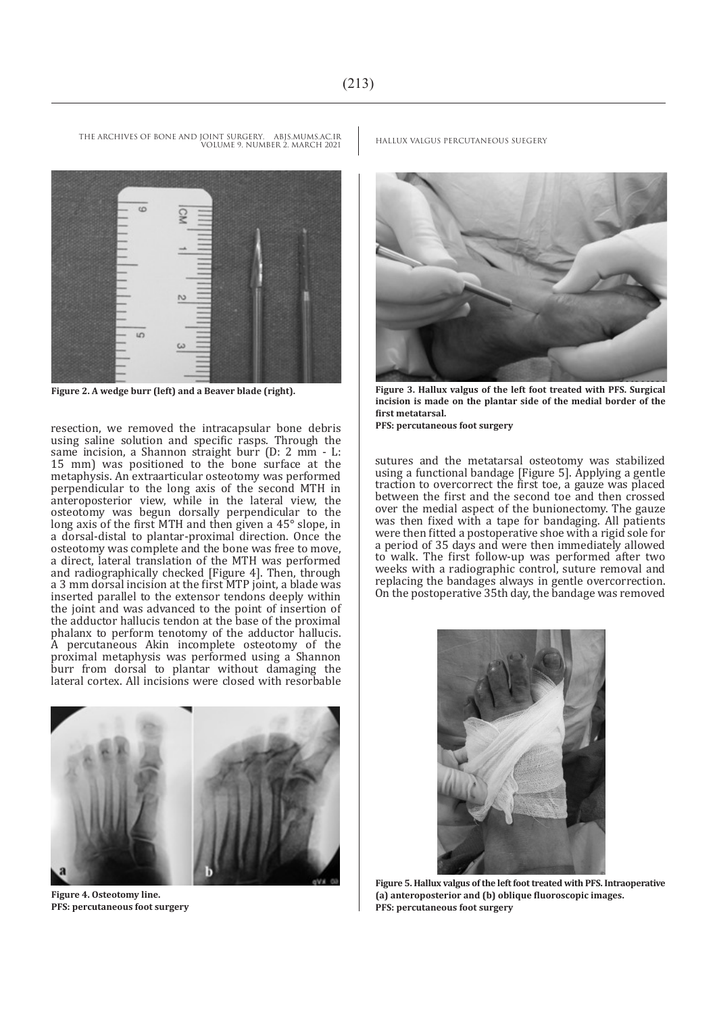VOLUME 9. NUMBER 2. MARCH 2021

œ

resection, we removed the intracapsular bone debris using saline solution and specific rasps. Through the same incision, a Shannon straight burr (D: 2 mm - L: 15 mm) was positioned to the bone surface at the metaphysis. An extraarticular osteotomy was performed perpendicular to the long axis of the second MTH in anteroposterior view, while in the lateral view, the osteotomy was begun dorsally perpendicular to the long axis of the first MTH and then given a 45° slope, in a dorsal-distal to plantar-proximal direction. Once the osteotomy was complete and the bone was free to move, a direct, lateral translation of the MTH was performed and radiographically checked [Figure 4]. Then, through a 3 mm dorsal incision at the first MTP joint, a blade was inserted parallel to the extensor tendons deeply within the joint and was advanced to the point of insertion of the adductor hallucis tendon at the base of the proximal phalanx to perform tenotomy of the adductor hallucis. A percutaneous Akin incomplete osteotomy of the proximal metaphysis was performed using a Shannon burr from dorsal to plantar without damaging the lateral cortex. All incisions were closed with resorbable



**Figure 4. Osteotomy line. PFS: percutaneous foot surgery**

THE ARCHIVES OF BONE AND JOINT SURGERY. ABJS.MUMS.AC.IR HALLUX VALGUS PERCUTANEOUS SUEGERY



**Figure 2. A wedge burr (left) and a Beaver blade (right). Figure 3. Hallux valgus of the left foot treated with PFS. Surgical incision is made on the plantar side of the medial border of the first metatarsal.** 

**PFS: percutaneous foot surgery**

sutures and the metatarsal osteotomy was stabilized using a functional bandage [Figure 5]. Applying a gentle traction to overcorrect the first toe, a gauze was placed between the first and the second toe and then crossed over the medial aspect of the bunionectomy. The gauze was then fixed with a tape for bandaging. All patients were then fitted a postoperative shoe with a rigid sole for a period of 35 days and were then immediately allowed to walk. The first follow-up was performed after two weeks with a radiographic control, suture removal and replacing the bandages always in gentle overcorrection. On the postoperative 35th day, the bandage was removed



**Figure 5. Hallux valgus of the left foot treated with PFS. Intraoperative (a) anteroposterior and (b) oblique fluoroscopic images. PFS: percutaneous foot surgery**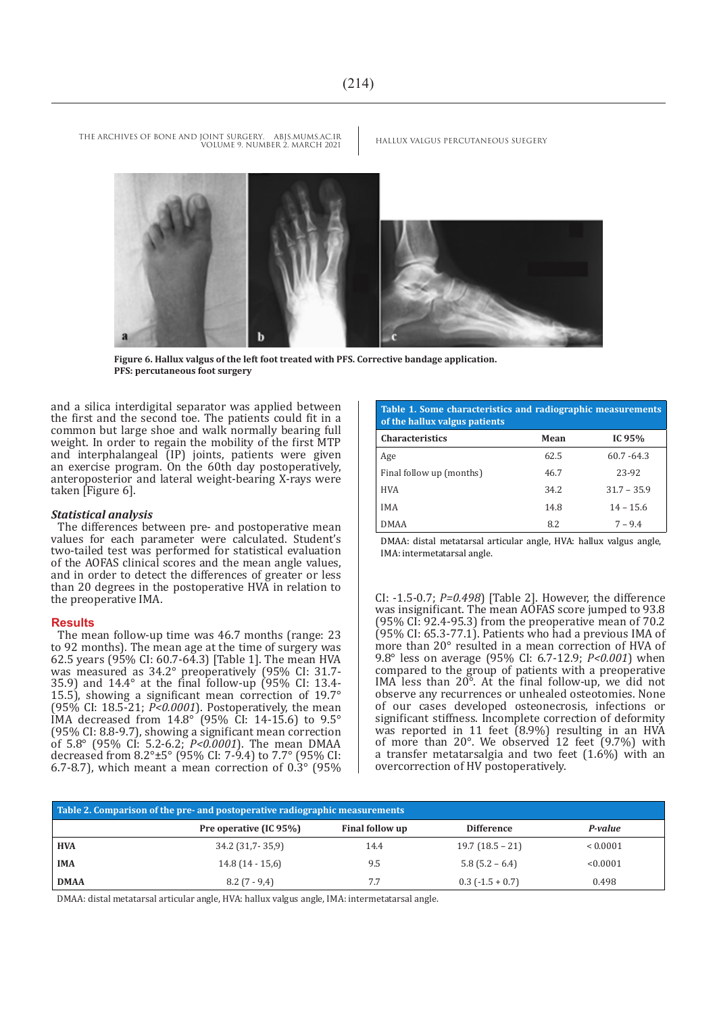

**Figure 6. Hallux valgus of the left foot treated with PFS. Corrective bandage application. PFS: percutaneous foot surgery**

THE ARCHIVES OF BONE AND JOINT SURGERY. ABJS.MUMS.AC.IR HALLUX VALGUS PERCUTANEOUS SUEGERY

VOLUME 9. NUMBER 2. MARCH 2021

and a silica interdigital separator was applied between the first and the second toe. The patients could fit in a common but large shoe and walk normally bearing full weight. In order to regain the mobility of the first MTP and interphalangeal (IP) joints, patients were given an exercise program. On the 60th day postoperatively, anteroposterior and lateral weight-bearing X-rays were taken [Figure 6].

#### *Statistical analysis*

The differences between pre- and postoperative mean values for each parameter were calculated. Student's two-tailed test was performed for statistical evaluation of the AOFAS clinical scores and the mean angle values, and in order to detect the differences of greater or less than 20 degrees in the postoperative HVA in relation to the preoperative IMA.

#### **Results**

The mean follow-up time was 46.7 months (range: 23 to 92 months). The mean age at the time of surgery was 62.5 years (95% CI: 60.7-64.3) [Table 1]. The mean HVA was measured as 34.2° preoperatively (95% CI: 31.7- 35.9) and 14.4° at the final follow-up (95% CI: 13.4- 15.5), showing a significant mean correction of 19.7° (95% CI: 18.5-21; *P<0.0001*). Postoperatively, the mean IMA decreased from 14.8° (95% CI: 14-15.6) to 9.5° (95% CI: 8.8-9.7), showing a significant mean correction of 5.8° (95% CI: 5.2-6.2; *P<0.0001*). The mean DMAA decreased from 8.2°±5° (95% CI: 7-9.4) to 7.7° (95% CI: 6.7-8.7), which meant a mean correction of 0.3° (95%

**Table 1. Some characteristics and radiographic measurements of the hallux valgus patients**

| <b>Characteristics</b>   | Mean | IC 95%        |
|--------------------------|------|---------------|
| Age                      | 62.5 | $60.7 - 64.3$ |
| Final follow up (months) | 46.7 | 23-92         |
| <b>HVA</b>               | 34.2 | $31.7 - 35.9$ |
| <b>IMA</b>               | 14.8 | $14 - 15.6$   |
| <b>DMAA</b>              | 8.2  | $7 - 9.4$     |

DMAA: distal metatarsal articular angle, HVA: hallux valgus angle, IMA: intermetatarsal angle.

CI: -1.5-0.7; *P=0.498*) [Table 2]. However, the difference was insignificant. The mean AOFAS score jumped to 93.8 (95% CI: 92.4-95.3) from the preoperative mean of 70.2 (95% CI: 65.3-77.1). Patients who had a previous IMA of more than 20° resulted in a mean correction of HVA of 9.8° less on average (95% CI: 6.7-12.9; *P<0.001*) when compared to the group of patients with a preoperative IMA less than 20°. At the final follow-up, we did not observe any recurrences or unhealed osteotomies. None of our cases developed osteonecrosis, infections or significant stiffness. Incomplete correction of deformity was reported in 11 feet (8.9%) resulting in an HVA of more than 20°. We observed 12 feet (9.7%) with a transfer metatarsalgia and two feet (1.6%) with an overcorrection of HV postoperatively.

| Table 2. Comparison of the pre- and postoperative radiographic measurements |                        |                 |                        |              |  |
|-----------------------------------------------------------------------------|------------------------|-----------------|------------------------|--------------|--|
|                                                                             | Pre operative (IC 95%) | Final follow up | <b>Difference</b>      | P-value      |  |
| <b>HVA</b>                                                                  | $34.2$ (31,7-35,9)     | 14.4            | $19.7(18.5 - 21)$      | ${}< 0.0001$ |  |
| ' IMA                                                                       | $14.8(14-15,6)$        | 9.5             | $5.8(5.2 - 6.4)$       | < 0.0001     |  |
| <b>DMAA</b>                                                                 | $8.2(7-9.4)$           | 7.7             | $0.3$ ( $-1.5 + 0.7$ ) | 0.498        |  |

DMAA: distal metatarsal articular angle, HVA: hallux valgus angle, IMA: intermetatarsal angle.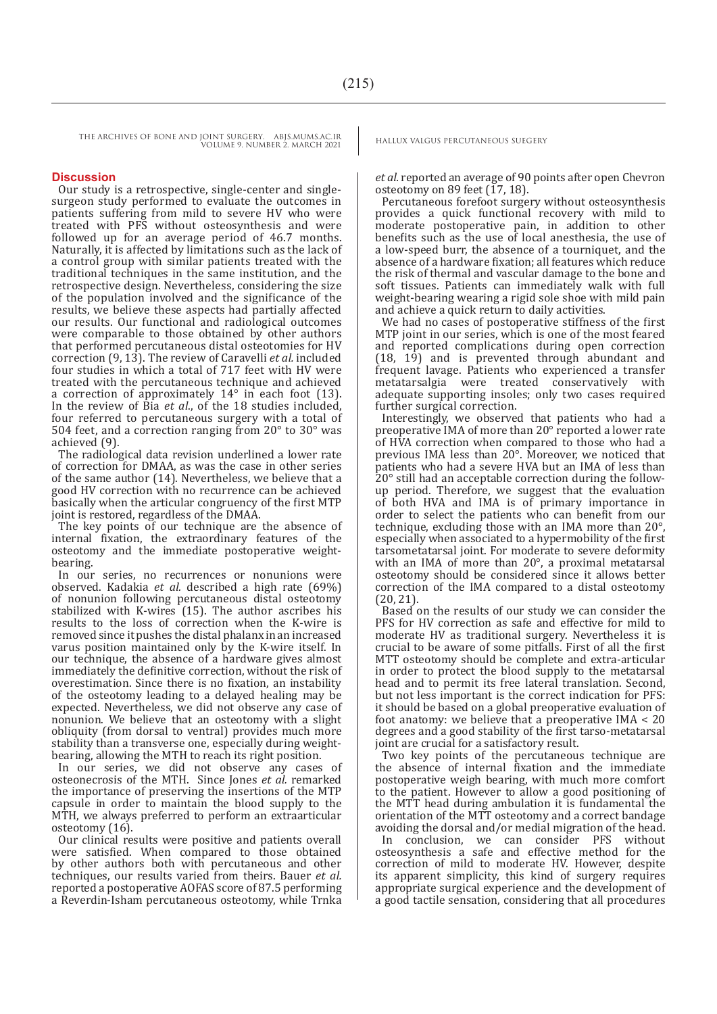THE ARCHIVES OF BONE AND JOINT SURGERY. ABJS.MUMS.AC.IR HALLUX VALGUS PERCUTANEOUS SUEGERY VOLUME 9. NUMBER 2. MARCH 2021

#### **Discussion**

Our study is a retrospective, single-center and singlesurgeon study performed to evaluate the outcomes in patients suffering from mild to severe HV who were treated with PFS without osteosynthesis and were followed up for an average period of 46.7 months. Naturally, it is affected by limitations such as the lack of a control group with similar patients treated with the traditional techniques in the same institution, and the retrospective design. Nevertheless, considering the size of the population involved and the significance of the results, we believe these aspects had partially affected our results. Our functional and radiological outcomes were comparable to those obtained by other authors that performed percutaneous distal osteotomies for HV correction (9, 13). The review of Caravelli *et al.* included four studies in which a total of 717 feet with HV were treated with the percutaneous technique and achieved a correction of approximately 14° in each foot (13). In the review of Bia *et al*., of the 18 studies included, four referred to percutaneous surgery with a total of 504 feet, and a correction ranging from 20° to 30° was achieved (9).

The radiological data revision underlined a lower rate of correction for DMAA, as was the case in other series of the same author (14). Nevertheless, we believe that a good HV correction with no recurrence can be achieved basically when the articular congruency of the first MTP joint is restored, regardless of the DMAA.

The key points of our technique are the absence of internal fixation, the extraordinary features of the osteotomy and the immediate postoperative weightbearing.

In our series, no recurrences or nonunions were observed. Kadakia *et al.* described a high rate (69%) of nonunion following percutaneous distal osteotomy stabilized with K-wires (15). The author ascribes his results to the loss of correction when the K-wire is removed since it pushes the distal phalanx in an increased varus position maintained only by the K-wire itself. In our technique, the absence of a hardware gives almost immediately the definitive correction, without the risk of overestimation. Since there is no fixation, an instability of the osteotomy leading to a delayed healing may be expected. Nevertheless, we did not observe any case of nonunion. We believe that an osteotomy with a slight obliquity (from dorsal to ventral) provides much more stability than a transverse one, especially during weightbearing, allowing the MTH to reach its right position.

In our series, we did not observe any cases of osteonecrosis of the MTH. Since Jones *et al.* remarked the importance of preserving the insertions of the MTP capsule in order to maintain the blood supply to the MTH, we always preferred to perform an extraarticular osteotomy (16).

Our clinical results were positive and patients overall were satisfied. When compared to those obtained by other authors both with percutaneous and other techniques, our results varied from theirs. Bauer *et al.* reported a postoperative AOFAS score of 87.5 performing a Reverdin-Isham percutaneous osteotomy, while Trnka

*et al.* reported an average of 90 points after open Chevron osteotomy on 89 feet  $(17, 18)$ .

Percutaneous forefoot surgery without osteosynthesis provides a quick functional recovery with mild to moderate postoperative pain, in addition to other benefits such as the use of local anesthesia, the use of a low-speed burr, the absence of a tourniquet, and the absence of a hardware fixation; all features which reduce the risk of thermal and vascular damage to the bone and soft tissues. Patients can immediately walk with full weight-bearing wearing a rigid sole shoe with mild pain and achieve a quick return to daily activities.

We had no cases of postoperative stiffness of the first MTP joint in our series, which is one of the most feared and reported complications during open correction (18, 19) and is prevented through abundant and frequent lavage. Patients who experienced a transfer metatarsalgia were treated conservatively with adequate supporting insoles; only two cases required further surgical correction.

Interestingly, we observed that patients who had a preoperative IMA of more than 20° reported a lower rate of HVA correction when compared to those who had a previous IMA less than 20°. Moreover, we noticed that patients who had a severe HVA but an IMA of less than 20° still had an acceptable correction during the followup period. Therefore, we suggest that the evaluation of both HVA and IMA is of primary importance in order to select the patients who can benefit from our technique, excluding those with an IMA more than 20°, especially when associated to a hypermobility of the first tarsometatarsal joint. For moderate to severe deformity with an IMA of more than 20°, a proximal metatarsal osteotomy should be considered since it allows better correction of the IMA compared to a distal osteotomy (20, 21).

Based on the results of our study we can consider the PFS for HV correction as safe and effective for mild to moderate HV as traditional surgery. Nevertheless it is crucial to be aware of some pitfalls. First of all the first MTT osteotomy should be complete and extra-articular in order to protect the blood supply to the metatarsal head and to permit its free lateral translation. Second, but not less important is the correct indication for PFS: it should be based on a global preoperative evaluation of foot anatomy: we believe that a preoperative IMA  $< 20$ degrees and a good stability of the first tarso-metatarsal joint are crucial for a satisfactory result.

Two key points of the percutaneous technique are the absence of internal fixation and the immediate postoperative weigh bearing, with much more comfort to the patient. However to allow a good positioning of the MTT head during ambulation it is fundamental the orientation of the MTT osteotomy and a correct bandage avoiding the dorsal and/or medial migration of the head.

In conclusion, we can consider PFS without osteosynthesis a safe and effective method for the correction of mild to moderate HV. However, despite its apparent simplicity, this kind of surgery requires appropriate surgical experience and the development of a good tactile sensation, considering that all procedures